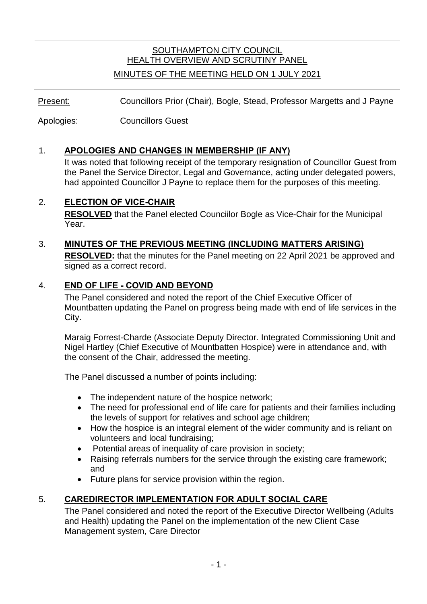# SOUTHAMPTON CITY COUNCIL HEALTH OVERVIEW AND SCRUTINY PANEL

#### MINUTES OF THE MEETING HELD ON 1 JULY 2021

Present: Councillors Prior (Chair), Bogle, Stead, Professor Margetts and J Payne

Apologies: Councillors Guest

## 1. **APOLOGIES AND CHANGES IN MEMBERSHIP (IF ANY)**

It was noted that following receipt of the temporary resignation of Councillor Guest from the Panel the Service Director, Legal and Governance, acting under delegated powers, had appointed Councillor J Payne to replace them for the purposes of this meeting.

#### 2. **ELECTION OF VICE-CHAIR**

**RESOLVED** that the Panel elected Counciilor Bogle as Vice-Chair for the Municipal Year.

# 3. **MINUTES OF THE PREVIOUS MEETING (INCLUDING MATTERS ARISING)**

**RESOLVED:** that the minutes for the Panel meeting on 22 April 2021 be approved and signed as a correct record.

## 4. **END OF LIFE - COVID AND BEYOND**

The Panel considered and noted the report of the Chief Executive Officer of Mountbatten updating the Panel on progress being made with end of life services in the City.

Maraig Forrest-Charde (Associate Deputy Director. Integrated Commissioning Unit and Nigel Hartley (Chief Executive of Mountbatten Hospice) were in attendance and, with the consent of the Chair, addressed the meeting.

The Panel discussed a number of points including:

- The independent nature of the hospice network;
- The need for professional end of life care for patients and their families including the levels of support for relatives and school age children;
- How the hospice is an integral element of the wider community and is reliant on volunteers and local fundraising;
- Potential areas of inequality of care provision in society;
- Raising referrals numbers for the service through the existing care framework; and
- Future plans for service provision within the region.

# 5. **CAREDIRECTOR IMPLEMENTATION FOR ADULT SOCIAL CARE**

The Panel considered and noted the report of the Executive Director Wellbeing (Adults and Health) updating the Panel on the implementation of the new Client Case Management system, Care Director